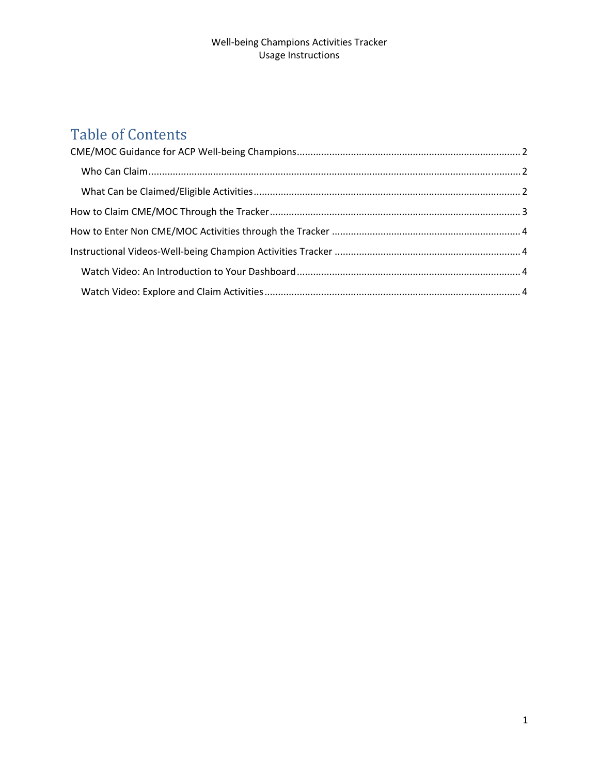#### Well‐being Champions Activities Tracker Usage Instructions

# Table of Contents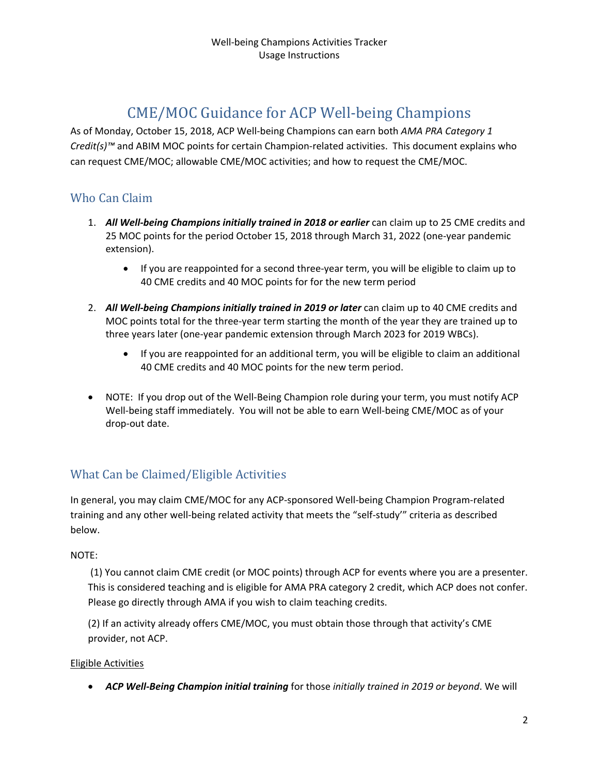# CME/MOC Guidance for ACP Well-being Champions

As of Monday, October 15, 2018, ACP Well‐being Champions can earn both *AMA PRA Category 1 Credit(s)™* and ABIM MOC points for certain Champion‐related activities. This document explains who can request CME/MOC; allowable CME/MOC activities; and how to request the CME/MOC.

### Who Can Claim

- 1. *All Well‐being Champions initially trained in 2018 or earlier* can claim up to 25 CME credits and 25 MOC points for the period October 15, 2018 through March 31, 2022 (one-year pandemic extension).
	- If you are reappointed for a second three-year term, you will be eligible to claim up to 40 CME credits and 40 MOC points for for the new term period
- 2. *All Well‐being Champions initially trained in 2019 or later* can claim up to 40 CME credits and MOC points total for the three-year term starting the month of the year they are trained up to three years later (one‐year pandemic extension through March 2023 for 2019 WBCs).
	- If you are reappointed for an additional term, you will be eligible to claim an additional 40 CME credits and 40 MOC points for the new term period.
- NOTE: If you drop out of the Well-Being Champion role during your term, you must notify ACP Well-being staff immediately. You will not be able to earn Well-being CME/MOC as of your drop‐out date.

### What Can be Claimed/Eligible Activities

In general, you may claim CME/MOC for any ACP‐sponsored Well‐being Champion Program‐related training and any other well‐being related activity that meets the "self‐study'" criteria as described below.

#### NOTE:

(1) You cannot claim CME credit (or MOC points) through ACP for events where you are a presenter. This is considered teaching and is eligible for AMA PRA category 2 credit, which ACP does not confer. Please go directly through AMA if you wish to claim teaching credits.

(2) If an activity already offers CME/MOC, you must obtain those through that activity's CME provider, not ACP.

#### Eligible Activities

*ACP Well‐Being Champion initial training* for those *initially trained in 2019 or beyond*. We will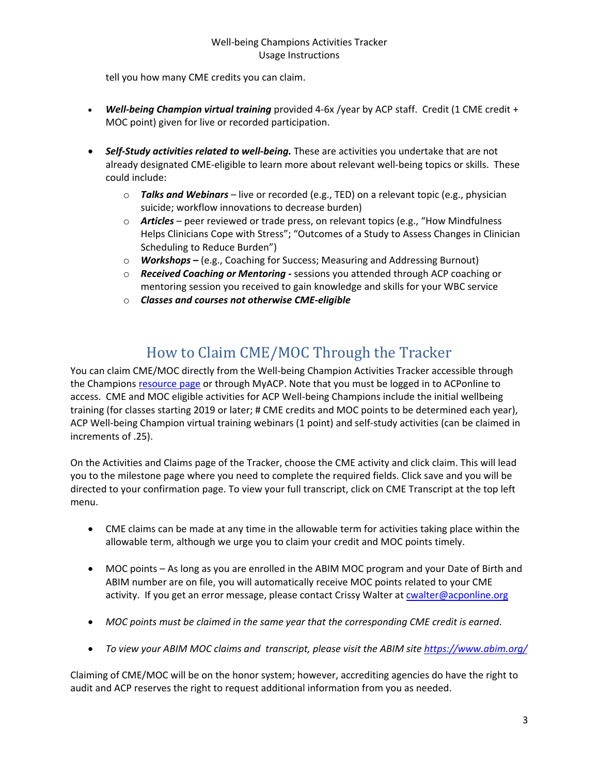#### Well‐being Champions Activities Tracker Usage Instructions

tell you how many CME credits you can claim.

- *Well‐being Champion virtual training* provided 4‐6x /year by ACP staff. Credit (1 CME credit + MOC point) given for live or recorded participation.
- *Self‐Study activities related to well‐being.* These are activities you undertake that are not already designated CME‐eligible to learn more about relevant well‐being topics or skills. These could include:
	- o *Talks and Webinars* live or recorded (e.g., TED) on a relevant topic (e.g., physician suicide; workflow innovations to decrease burden)
	- o *Articles* peer reviewed or trade press, on relevant topics (e.g., "How Mindfulness Helps Clinicians Cope with Stress"; "Outcomes of a Study to Assess Changes in Clinician Scheduling to Reduce Burden")
	- o *Workshops –* (e.g., Coaching for Success; Measuring and Addressing Burnout)
	- o *Received Coaching or Mentoring ‐* sessions you attended through ACP coaching or mentoring session you received to gain knowledge and skills for your WBC service
	- o *Classes and courses not otherwise CME‐eligible*

# How to Claim CME/MOC Through the Tracker

You can claim CME/MOC directly from the Well-being Champion Activities Tracker accessible through the Champions resource page or through MyACP. Note that you must be logged in to ACPonline to access. CME and MOC eligible activities for ACP Well-being Champions include the initial wellbeing training (for classes starting 2019 or later; # CME credits and MOC points to be determined each year), ACP Well‐being Champion virtual training webinars (1 point) and self‐study activities (can be claimed in increments of .25).

On the Activities and Claims page of the Tracker, choose the CME activity and click claim. This will lead you to the milestone page where you need to complete the required fields. Click save and you will be directed to your confirmation page. To view your full transcript, click on CME Transcript at the top left menu.

- CME claims can be made at any time in the allowable term for activities taking place within the allowable term, although we urge you to claim your credit and MOC points timely.
- MOC points As long as you are enrolled in the ABIM MOC program and your Date of Birth and ABIM number are on file, you will automatically receive MOC points related to your CME activity. If you get an error message, please contact Crissy Walter at cwalter@acponline.org
- *MOC points must be claimed in the same year that the corresponding CME credit is earned*.
- *To view your ABIM MOC claims and transcript, please visit the ABIM site https://www.abim.org/*

Claiming of CME/MOC will be on the honor system; however, accrediting agencies do have the right to audit and ACP reserves the right to request additional information from you as needed.